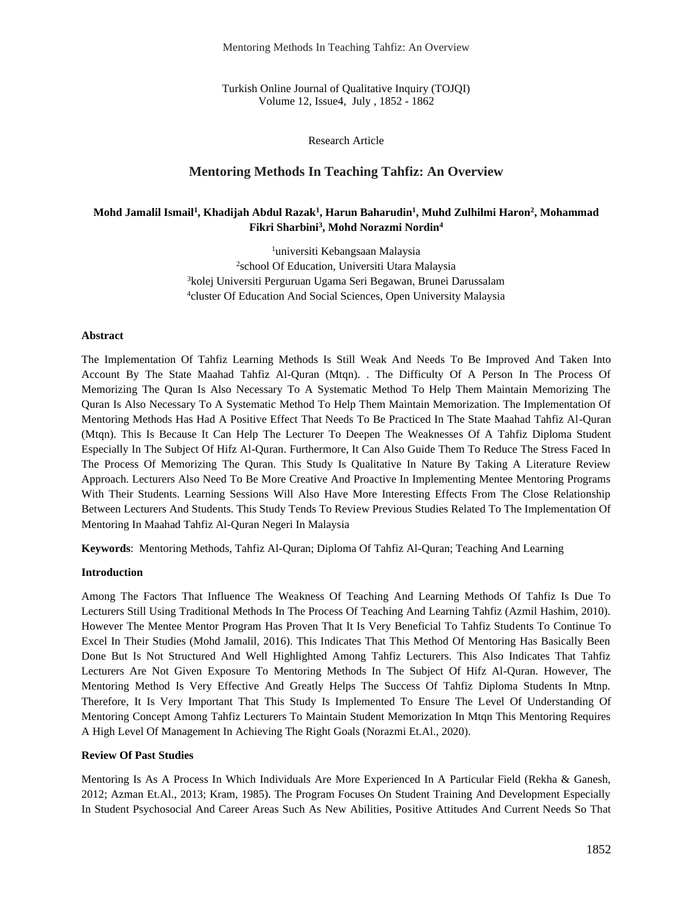Mentoring Methods In Teaching Tahfiz: An Overview

Turkish Online Journal of Qualitative Inquiry (TOJQI) Volume 12, Issue4, July , 1852 - 1862

#### Research Article

## **Mentoring Methods In Teaching Tahfiz: An Overview**

## **Mohd Jamalil Ismail<sup>1</sup> , Khadijah Abdul Razak<sup>1</sup> , Harun Baharudin<sup>1</sup> , Muhd Zulhilmi Haron<sup>2</sup> , Mohammad Fikri Sharbini<sup>3</sup> , Mohd Norazmi Nordin<sup>4</sup>**

universiti Kebangsaan Malaysia school Of Education, Universiti Utara Malaysia kolej Universiti Perguruan Ugama Seri Begawan, Brunei Darussalam cluster Of Education And Social Sciences, Open University Malaysia

#### **Abstract**

The Implementation Of Tahfiz Learning Methods Is Still Weak And Needs To Be Improved And Taken Into Account By The State Maahad Tahfiz Al-Quran (Mtqn). . The Difficulty Of A Person In The Process Of Memorizing The Quran Is Also Necessary To A Systematic Method To Help Them Maintain Memorizing The Quran Is Also Necessary To A Systematic Method To Help Them Maintain Memorization. The Implementation Of Mentoring Methods Has Had A Positive Effect That Needs To Be Practiced In The State Maahad Tahfiz Al-Quran (Mtqn). This Is Because It Can Help The Lecturer To Deepen The Weaknesses Of A Tahfiz Diploma Student Especially In The Subject Of Hifz Al-Quran. Furthermore, It Can Also Guide Them To Reduce The Stress Faced In The Process Of Memorizing The Quran. This Study Is Qualitative In Nature By Taking A Literature Review Approach. Lecturers Also Need To Be More Creative And Proactive In Implementing Mentee Mentoring Programs With Their Students. Learning Sessions Will Also Have More Interesting Effects From The Close Relationship Between Lecturers And Students. This Study Tends To Review Previous Studies Related To The Implementation Of Mentoring In Maahad Tahfiz Al-Quran Negeri In Malaysia

**Keywords**: Mentoring Methods, Tahfiz Al-Quran; Diploma Of Tahfiz Al-Quran; Teaching And Learning

#### **Introduction**

Among The Factors That Influence The Weakness Of Teaching And Learning Methods Of Tahfiz Is Due To Lecturers Still Using Traditional Methods In The Process Of Teaching And Learning Tahfiz (Azmil Hashim, 2010). However The Mentee Mentor Program Has Proven That It Is Very Beneficial To Tahfiz Students To Continue To Excel In Their Studies (Mohd Jamalil, 2016). This Indicates That This Method Of Mentoring Has Basically Been Done But Is Not Structured And Well Highlighted Among Tahfiz Lecturers. This Also Indicates That Tahfiz Lecturers Are Not Given Exposure To Mentoring Methods In The Subject Of Hifz Al-Quran. However, The Mentoring Method Is Very Effective And Greatly Helps The Success Of Tahfiz Diploma Students In Mtnp. Therefore, It Is Very Important That This Study Is Implemented To Ensure The Level Of Understanding Of Mentoring Concept Among Tahfiz Lecturers To Maintain Student Memorization In Mtqn This Mentoring Requires A High Level Of Management In Achieving The Right Goals (Norazmi Et.Al., 2020).

#### **Review Of Past Studies**

Mentoring Is As A Process In Which Individuals Are More Experienced In A Particular Field (Rekha & Ganesh, 2012; Azman Et.Al., 2013; Kram, 1985). The Program Focuses On Student Training And Development Especially In Student Psychosocial And Career Areas Such As New Abilities, Positive Attitudes And Current Needs So That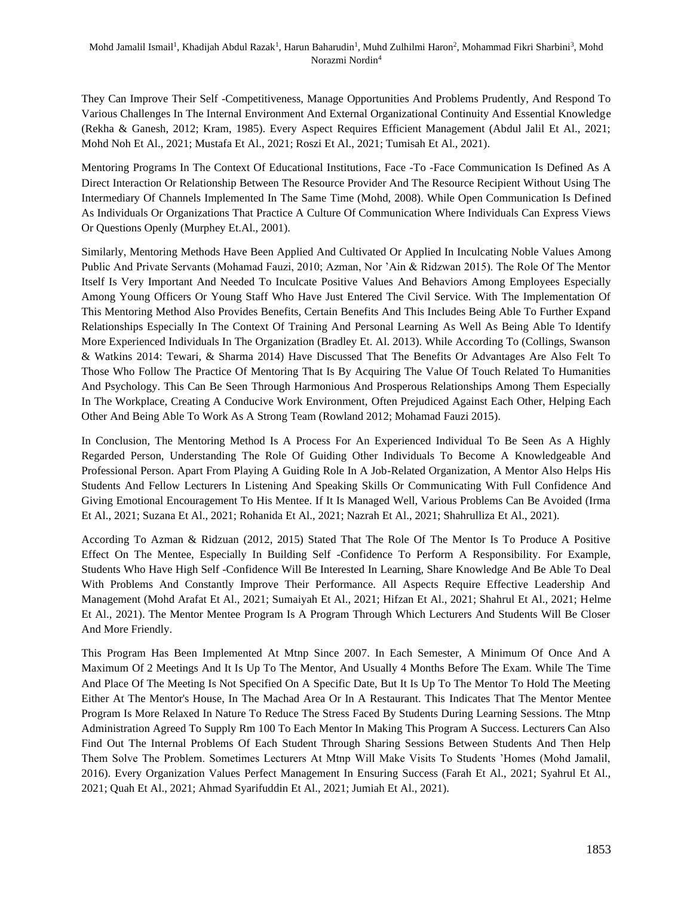They Can Improve Their Self -Competitiveness, Manage Opportunities And Problems Prudently, And Respond To Various Challenges In The Internal Environment And External Organizational Continuity And Essential Knowledge (Rekha & Ganesh, 2012; Kram, 1985). Every Aspect Requires Efficient Management (Abdul Jalil Et Al., 2021; Mohd Noh Et Al., 2021; Mustafa Et Al., 2021; Roszi Et Al., 2021; Tumisah Et Al., 2021).

Mentoring Programs In The Context Of Educational Institutions, Face -To -Face Communication Is Defined As A Direct Interaction Or Relationship Between The Resource Provider And The Resource Recipient Without Using The Intermediary Of Channels Implemented In The Same Time (Mohd, 2008). While Open Communication Is Defined As Individuals Or Organizations That Practice A Culture Of Communication Where Individuals Can Express Views Or Questions Openly (Murphey Et.Al., 2001).

Similarly, Mentoring Methods Have Been Applied And Cultivated Or Applied In Inculcating Noble Values Among Public And Private Servants (Mohamad Fauzi, 2010; Azman, Nor 'Ain & Ridzwan 2015). The Role Of The Mentor Itself Is Very Important And Needed To Inculcate Positive Values And Behaviors Among Employees Especially Among Young Officers Or Young Staff Who Have Just Entered The Civil Service. With The Implementation Of This Mentoring Method Also Provides Benefits, Certain Benefits And This Includes Being Able To Further Expand Relationships Especially In The Context Of Training And Personal Learning As Well As Being Able To Identify More Experienced Individuals In The Organization (Bradley Et. Al. 2013). While According To (Collings, Swanson & Watkins 2014: Tewari, & Sharma 2014) Have Discussed That The Benefits Or Advantages Are Also Felt To Those Who Follow The Practice Of Mentoring That Is By Acquiring The Value Of Touch Related To Humanities And Psychology. This Can Be Seen Through Harmonious And Prosperous Relationships Among Them Especially In The Workplace, Creating A Conducive Work Environment, Often Prejudiced Against Each Other, Helping Each Other And Being Able To Work As A Strong Team (Rowland 2012; Mohamad Fauzi 2015).

In Conclusion, The Mentoring Method Is A Process For An Experienced Individual To Be Seen As A Highly Regarded Person, Understanding The Role Of Guiding Other Individuals To Become A Knowledgeable And Professional Person. Apart From Playing A Guiding Role In A Job-Related Organization, A Mentor Also Helps His Students And Fellow Lecturers In Listening And Speaking Skills Or Communicating With Full Confidence And Giving Emotional Encouragement To His Mentee. If It Is Managed Well, Various Problems Can Be Avoided (Irma Et Al., 2021; Suzana Et Al., 2021; Rohanida Et Al., 2021; Nazrah Et Al., 2021; Shahrulliza Et Al., 2021).

According To Azman & Ridzuan (2012, 2015) Stated That The Role Of The Mentor Is To Produce A Positive Effect On The Mentee, Especially In Building Self -Confidence To Perform A Responsibility. For Example, Students Who Have High Self -Confidence Will Be Interested In Learning, Share Knowledge And Be Able To Deal With Problems And Constantly Improve Their Performance. All Aspects Require Effective Leadership And Management (Mohd Arafat Et Al., 2021; Sumaiyah Et Al., 2021; Hifzan Et Al., 2021; Shahrul Et Al., 2021; Helme Et Al., 2021). The Mentor Mentee Program Is A Program Through Which Lecturers And Students Will Be Closer And More Friendly.

This Program Has Been Implemented At Mtnp Since 2007. In Each Semester, A Minimum Of Once And A Maximum Of 2 Meetings And It Is Up To The Mentor, And Usually 4 Months Before The Exam. While The Time And Place Of The Meeting Is Not Specified On A Specific Date, But It Is Up To The Mentor To Hold The Meeting Either At The Mentor's House, In The Machad Area Or In A Restaurant. This Indicates That The Mentor Mentee Program Is More Relaxed In Nature To Reduce The Stress Faced By Students During Learning Sessions. The Mtnp Administration Agreed To Supply Rm 100 To Each Mentor In Making This Program A Success. Lecturers Can Also Find Out The Internal Problems Of Each Student Through Sharing Sessions Between Students And Then Help Them Solve The Problem. Sometimes Lecturers At Mtnp Will Make Visits To Students 'Homes (Mohd Jamalil, 2016). Every Organization Values Perfect Management In Ensuring Success (Farah Et Al., 2021; Syahrul Et Al., 2021; Quah Et Al., 2021; Ahmad Syarifuddin Et Al., 2021; Jumiah Et Al., 2021).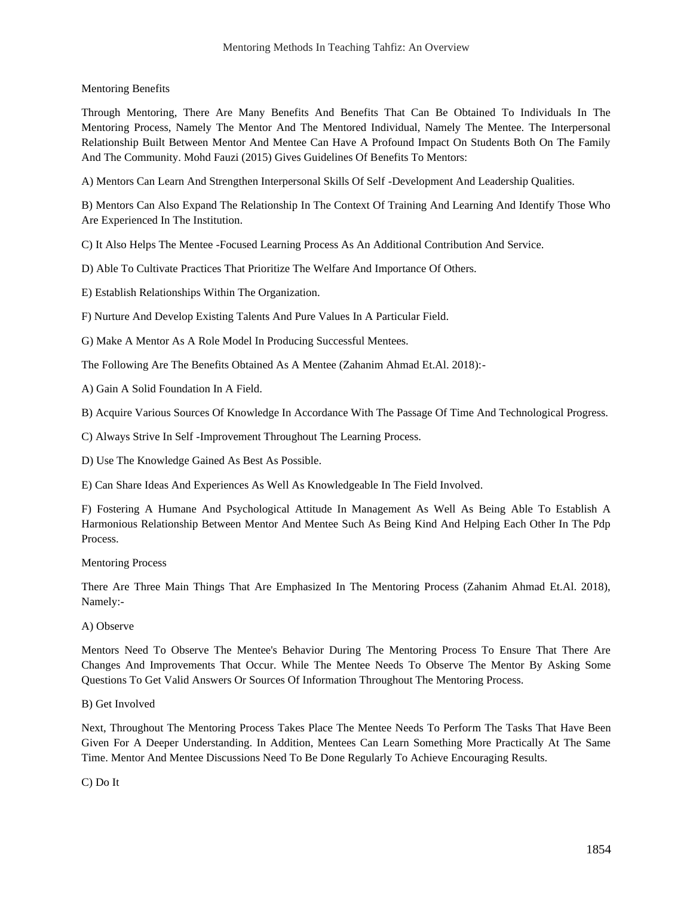### Mentoring Benefits

Through Mentoring, There Are Many Benefits And Benefits That Can Be Obtained To Individuals In The Mentoring Process, Namely The Mentor And The Mentored Individual, Namely The Mentee. The Interpersonal Relationship Built Between Mentor And Mentee Can Have A Profound Impact On Students Both On The Family And The Community. Mohd Fauzi (2015) Gives Guidelines Of Benefits To Mentors:

A) Mentors Can Learn And Strengthen Interpersonal Skills Of Self -Development And Leadership Qualities.

B) Mentors Can Also Expand The Relationship In The Context Of Training And Learning And Identify Those Who Are Experienced In The Institution.

C) It Also Helps The Mentee -Focused Learning Process As An Additional Contribution And Service.

D) Able To Cultivate Practices That Prioritize The Welfare And Importance Of Others.

E) Establish Relationships Within The Organization.

F) Nurture And Develop Existing Talents And Pure Values In A Particular Field.

G) Make A Mentor As A Role Model In Producing Successful Mentees.

The Following Are The Benefits Obtained As A Mentee (Zahanim Ahmad Et.Al. 2018):-

A) Gain A Solid Foundation In A Field.

B) Acquire Various Sources Of Knowledge In Accordance With The Passage Of Time And Technological Progress.

C) Always Strive In Self -Improvement Throughout The Learning Process.

D) Use The Knowledge Gained As Best As Possible.

E) Can Share Ideas And Experiences As Well As Knowledgeable In The Field Involved.

F) Fostering A Humane And Psychological Attitude In Management As Well As Being Able To Establish A Harmonious Relationship Between Mentor And Mentee Such As Being Kind And Helping Each Other In The Pdp Process.

Mentoring Process

There Are Three Main Things That Are Emphasized In The Mentoring Process (Zahanim Ahmad Et.Al. 2018), Namely:-

### A) Observe

Mentors Need To Observe The Mentee's Behavior During The Mentoring Process To Ensure That There Are Changes And Improvements That Occur. While The Mentee Needs To Observe The Mentor By Asking Some Questions To Get Valid Answers Or Sources Of Information Throughout The Mentoring Process.

### B) Get Involved

Next, Throughout The Mentoring Process Takes Place The Mentee Needs To Perform The Tasks That Have Been Given For A Deeper Understanding. In Addition, Mentees Can Learn Something More Practically At The Same Time. Mentor And Mentee Discussions Need To Be Done Regularly To Achieve Encouraging Results.

C) Do It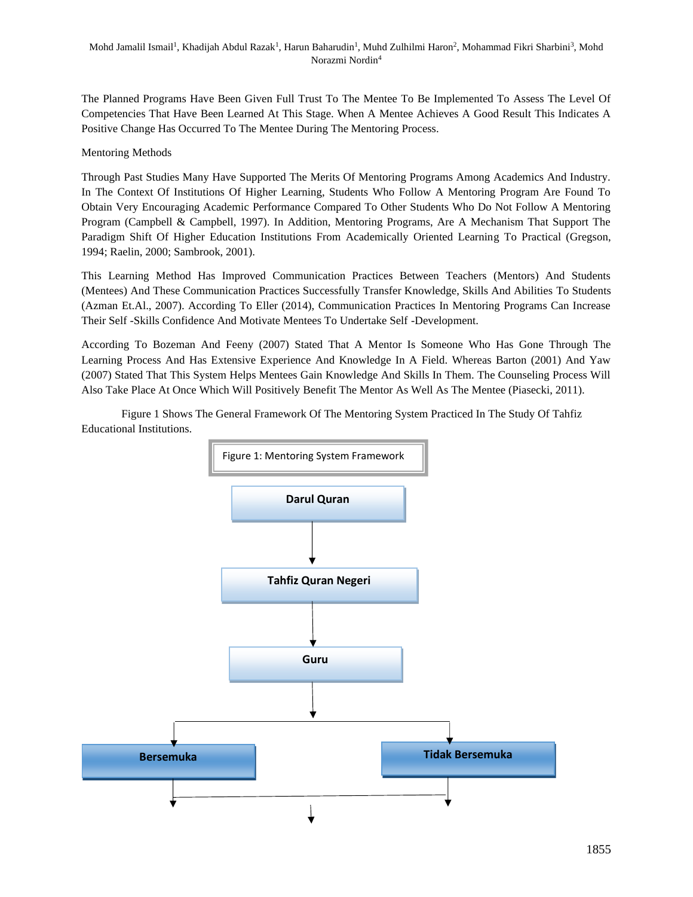The Planned Programs Have Been Given Full Trust To The Mentee To Be Implemented To Assess The Level Of Competencies That Have Been Learned At This Stage. When A Mentee Achieves A Good Result This Indicates A Positive Change Has Occurred To The Mentee During The Mentoring Process.

# Mentoring Methods

Through Past Studies Many Have Supported The Merits Of Mentoring Programs Among Academics And Industry. In The Context Of Institutions Of Higher Learning, Students Who Follow A Mentoring Program Are Found To Obtain Very Encouraging Academic Performance Compared To Other Students Who Do Not Follow A Mentoring Program (Campbell & Campbell, 1997). In Addition, Mentoring Programs, Are A Mechanism That Support The Paradigm Shift Of Higher Education Institutions From Academically Oriented Learning To Practical (Gregson, 1994; Raelin, 2000; Sambrook, 2001).

This Learning Method Has Improved Communication Practices Between Teachers (Mentors) And Students (Mentees) And These Communication Practices Successfully Transfer Knowledge, Skills And Abilities To Students (Azman Et.Al., 2007). According To Eller (2014), Communication Practices In Mentoring Programs Can Increase Their Self -Skills Confidence And Motivate Mentees To Undertake Self -Development.

According To Bozeman And Feeny (2007) Stated That A Mentor Is Someone Who Has Gone Through The Learning Process And Has Extensive Experience And Knowledge In A Field. Whereas Barton (2001) And Yaw (2007) Stated That This System Helps Mentees Gain Knowledge And Skills In Them. The Counseling Process Will Also Take Place At Once Which Will Positively Benefit The Mentor As Well As The Mentee (Piasecki, 2011).

Figure 1 Shows The General Framework Of The Mentoring System Practiced In The Study Of Tahfiz Educational Institutions.

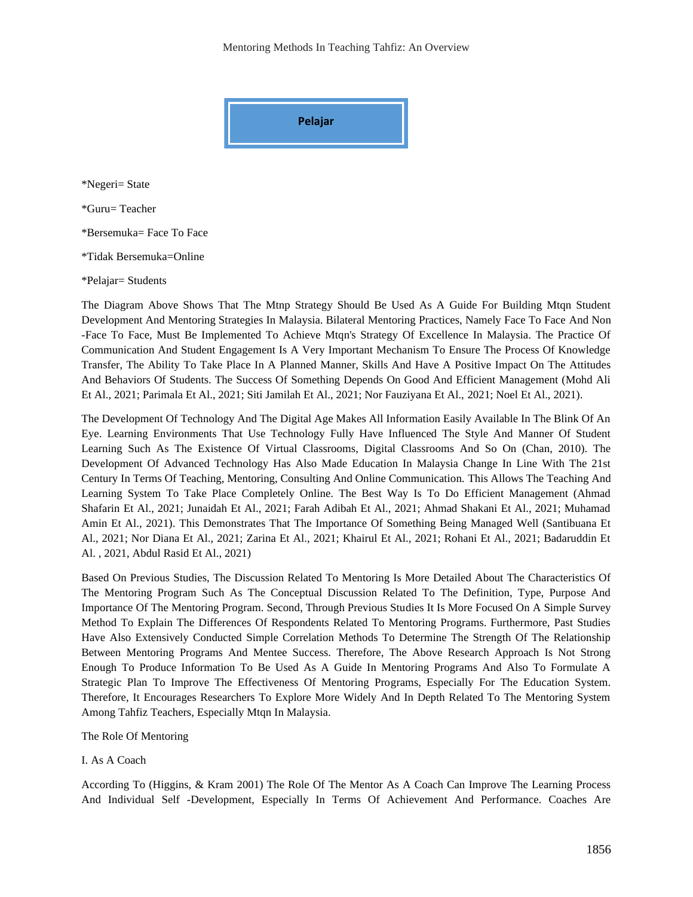Mentoring Methods In Teaching Tahfiz: An Overview



\*Negeri= State

\*Guru= Teacher

\*Bersemuka= Face To Face

\*Tidak Bersemuka=Online

\*Pelajar= Students

The Diagram Above Shows That The Mtnp Strategy Should Be Used As A Guide For Building Mtqn Student Development And Mentoring Strategies In Malaysia. Bilateral Mentoring Practices, Namely Face To Face And Non -Face To Face, Must Be Implemented To Achieve Mtqn's Strategy Of Excellence In Malaysia. The Practice Of Communication And Student Engagement Is A Very Important Mechanism To Ensure The Process Of Knowledge Transfer, The Ability To Take Place In A Planned Manner, Skills And Have A Positive Impact On The Attitudes And Behaviors Of Students. The Success Of Something Depends On Good And Efficient Management (Mohd Ali Et Al., 2021; Parimala Et Al., 2021; Siti Jamilah Et Al., 2021; Nor Fauziyana Et Al., 2021; Noel Et Al., 2021).

The Development Of Technology And The Digital Age Makes All Information Easily Available In The Blink Of An Eye. Learning Environments That Use Technology Fully Have Influenced The Style And Manner Of Student Learning Such As The Existence Of Virtual Classrooms, Digital Classrooms And So On (Chan, 2010). The Development Of Advanced Technology Has Also Made Education In Malaysia Change In Line With The 21st Century In Terms Of Teaching, Mentoring, Consulting And Online Communication. This Allows The Teaching And Learning System To Take Place Completely Online. The Best Way Is To Do Efficient Management (Ahmad Shafarin Et Al., 2021; Junaidah Et Al., 2021; Farah Adibah Et Al., 2021; Ahmad Shakani Et Al., 2021; Muhamad Amin Et Al., 2021). This Demonstrates That The Importance Of Something Being Managed Well (Santibuana Et Al., 2021; Nor Diana Et Al., 2021; Zarina Et Al., 2021; Khairul Et Al., 2021; Rohani Et Al., 2021; Badaruddin Et Al. , 2021, Abdul Rasid Et Al., 2021)

Based On Previous Studies, The Discussion Related To Mentoring Is More Detailed About The Characteristics Of The Mentoring Program Such As The Conceptual Discussion Related To The Definition, Type, Purpose And Importance Of The Mentoring Program. Second, Through Previous Studies It Is More Focused On A Simple Survey Method To Explain The Differences Of Respondents Related To Mentoring Programs. Furthermore, Past Studies Have Also Extensively Conducted Simple Correlation Methods To Determine The Strength Of The Relationship Between Mentoring Programs And Mentee Success. Therefore, The Above Research Approach Is Not Strong Enough To Produce Information To Be Used As A Guide In Mentoring Programs And Also To Formulate A Strategic Plan To Improve The Effectiveness Of Mentoring Programs, Especially For The Education System. Therefore, It Encourages Researchers To Explore More Widely And In Depth Related To The Mentoring System Among Tahfiz Teachers, Especially Mtqn In Malaysia.

The Role Of Mentoring

I. As A Coach

According To (Higgins, & Kram 2001) The Role Of The Mentor As A Coach Can Improve The Learning Process And Individual Self -Development, Especially In Terms Of Achievement And Performance. Coaches Are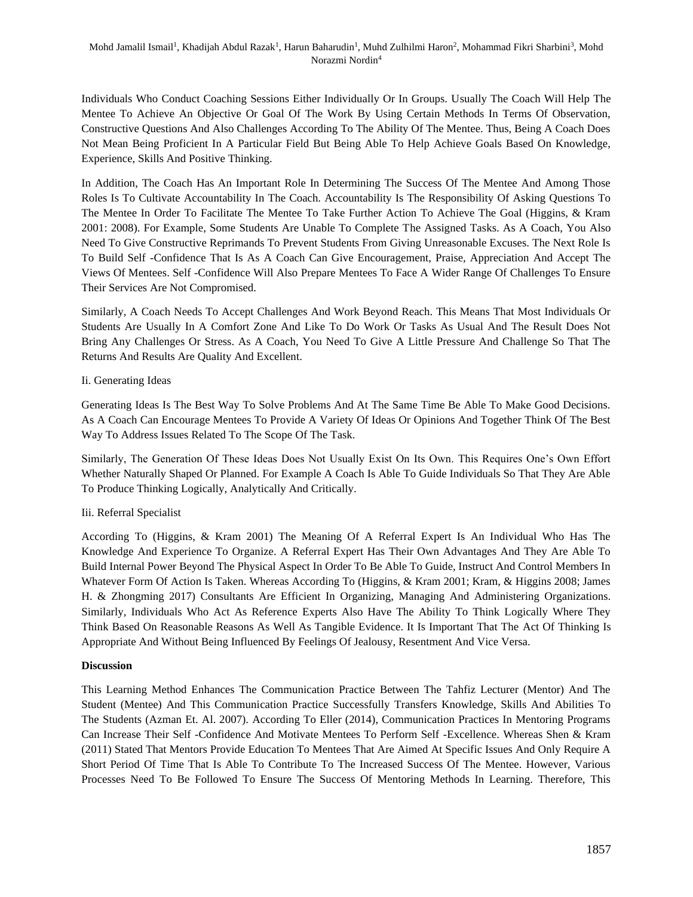Individuals Who Conduct Coaching Sessions Either Individually Or In Groups. Usually The Coach Will Help The Mentee To Achieve An Objective Or Goal Of The Work By Using Certain Methods In Terms Of Observation, Constructive Questions And Also Challenges According To The Ability Of The Mentee. Thus, Being A Coach Does Not Mean Being Proficient In A Particular Field But Being Able To Help Achieve Goals Based On Knowledge, Experience, Skills And Positive Thinking.

In Addition, The Coach Has An Important Role In Determining The Success Of The Mentee And Among Those Roles Is To Cultivate Accountability In The Coach. Accountability Is The Responsibility Of Asking Questions To The Mentee In Order To Facilitate The Mentee To Take Further Action To Achieve The Goal (Higgins, & Kram 2001: 2008). For Example, Some Students Are Unable To Complete The Assigned Tasks. As A Coach, You Also Need To Give Constructive Reprimands To Prevent Students From Giving Unreasonable Excuses. The Next Role Is To Build Self -Confidence That Is As A Coach Can Give Encouragement, Praise, Appreciation And Accept The Views Of Mentees. Self -Confidence Will Also Prepare Mentees To Face A Wider Range Of Challenges To Ensure Their Services Are Not Compromised.

Similarly, A Coach Needs To Accept Challenges And Work Beyond Reach. This Means That Most Individuals Or Students Are Usually In A Comfort Zone And Like To Do Work Or Tasks As Usual And The Result Does Not Bring Any Challenges Or Stress. As A Coach, You Need To Give A Little Pressure And Challenge So That The Returns And Results Are Quality And Excellent.

# Ii. Generating Ideas

Generating Ideas Is The Best Way To Solve Problems And At The Same Time Be Able To Make Good Decisions. As A Coach Can Encourage Mentees To Provide A Variety Of Ideas Or Opinions And Together Think Of The Best Way To Address Issues Related To The Scope Of The Task.

Similarly, The Generation Of These Ideas Does Not Usually Exist On Its Own. This Requires One's Own Effort Whether Naturally Shaped Or Planned. For Example A Coach Is Able To Guide Individuals So That They Are Able To Produce Thinking Logically, Analytically And Critically.

# Iii. Referral Specialist

According To (Higgins, & Kram 2001) The Meaning Of A Referral Expert Is An Individual Who Has The Knowledge And Experience To Organize. A Referral Expert Has Their Own Advantages And They Are Able To Build Internal Power Beyond The Physical Aspect In Order To Be Able To Guide, Instruct And Control Members In Whatever Form Of Action Is Taken. Whereas According To (Higgins, & Kram 2001; Kram, & Higgins 2008; James H. & Zhongming 2017) Consultants Are Efficient In Organizing, Managing And Administering Organizations. Similarly, Individuals Who Act As Reference Experts Also Have The Ability To Think Logically Where They Think Based On Reasonable Reasons As Well As Tangible Evidence. It Is Important That The Act Of Thinking Is Appropriate And Without Being Influenced By Feelings Of Jealousy, Resentment And Vice Versa.

### **Discussion**

This Learning Method Enhances The Communication Practice Between The Tahfiz Lecturer (Mentor) And The Student (Mentee) And This Communication Practice Successfully Transfers Knowledge, Skills And Abilities To The Students (Azman Et. Al. 2007). According To Eller (2014), Communication Practices In Mentoring Programs Can Increase Their Self -Confidence And Motivate Mentees To Perform Self -Excellence. Whereas Shen & Kram (2011) Stated That Mentors Provide Education To Mentees That Are Aimed At Specific Issues And Only Require A Short Period Of Time That Is Able To Contribute To The Increased Success Of The Mentee. However, Various Processes Need To Be Followed To Ensure The Success Of Mentoring Methods In Learning. Therefore, This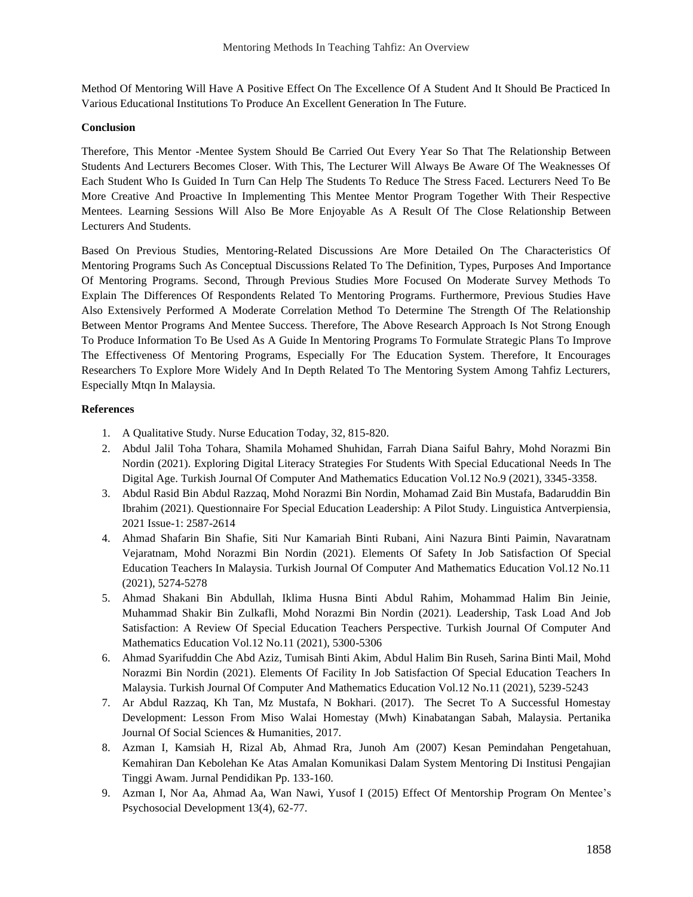Method Of Mentoring Will Have A Positive Effect On The Excellence Of A Student And It Should Be Practiced In Various Educational Institutions To Produce An Excellent Generation In The Future.

### **Conclusion**

Therefore, This Mentor -Mentee System Should Be Carried Out Every Year So That The Relationship Between Students And Lecturers Becomes Closer. With This, The Lecturer Will Always Be Aware Of The Weaknesses Of Each Student Who Is Guided In Turn Can Help The Students To Reduce The Stress Faced. Lecturers Need To Be More Creative And Proactive In Implementing This Mentee Mentor Program Together With Their Respective Mentees. Learning Sessions Will Also Be More Enjoyable As A Result Of The Close Relationship Between Lecturers And Students.

Based On Previous Studies, Mentoring-Related Discussions Are More Detailed On The Characteristics Of Mentoring Programs Such As Conceptual Discussions Related To The Definition, Types, Purposes And Importance Of Mentoring Programs. Second, Through Previous Studies More Focused On Moderate Survey Methods To Explain The Differences Of Respondents Related To Mentoring Programs. Furthermore, Previous Studies Have Also Extensively Performed A Moderate Correlation Method To Determine The Strength Of The Relationship Between Mentor Programs And Mentee Success. Therefore, The Above Research Approach Is Not Strong Enough To Produce Information To Be Used As A Guide In Mentoring Programs To Formulate Strategic Plans To Improve The Effectiveness Of Mentoring Programs, Especially For The Education System. Therefore, It Encourages Researchers To Explore More Widely And In Depth Related To The Mentoring System Among Tahfiz Lecturers, Especially Mtqn In Malaysia.

## **References**

- 1. A Qualitative Study. Nurse Education Today, 32, 815-820.
- 2. Abdul Jalil Toha Tohara, Shamila Mohamed Shuhidan, Farrah Diana Saiful Bahry, Mohd Norazmi Bin Nordin (2021). Exploring Digital Literacy Strategies For Students With Special Educational Needs In The Digital Age. Turkish Journal Of Computer And Mathematics Education Vol.12 No.9 (2021), 3345-3358.
- 3. Abdul Rasid Bin Abdul Razzaq, Mohd Norazmi Bin Nordin, Mohamad Zaid Bin Mustafa, Badaruddin Bin Ibrahim (2021). Questionnaire For Special Education Leadership: A Pilot Study. Linguistica Antverpiensia, 2021 Issue-1: 2587-2614
- 4. Ahmad Shafarin Bin Shafie, Siti Nur Kamariah Binti Rubani, Aini Nazura Binti Paimin, Navaratnam Vejaratnam, Mohd Norazmi Bin Nordin (2021). Elements Of Safety In Job Satisfaction Of Special Education Teachers In Malaysia. Turkish Journal Of Computer And Mathematics Education Vol.12 No.11 (2021), 5274-5278
- 5. Ahmad Shakani Bin Abdullah, Iklima Husna Binti Abdul Rahim, Mohammad Halim Bin Jeinie, Muhammad Shakir Bin Zulkafli, Mohd Norazmi Bin Nordin (2021). Leadership, Task Load And Job Satisfaction: A Review Of Special Education Teachers Perspective. Turkish Journal Of Computer And Mathematics Education Vol.12 No.11 (2021), 5300-5306
- 6. Ahmad Syarifuddin Che Abd Aziz, Tumisah Binti Akim, Abdul Halim Bin Ruseh, Sarina Binti Mail, Mohd Norazmi Bin Nordin (2021). Elements Of Facility In Job Satisfaction Of Special Education Teachers In Malaysia. Turkish Journal Of Computer And Mathematics Education Vol.12 No.11 (2021), 5239-5243
- 7. Ar Abdul Razzaq, Kh Tan, Mz Mustafa, N Bokhari. (2017). The Secret To A Successful Homestay Development: Lesson From Miso Walai Homestay (Mwh) Kinabatangan Sabah, Malaysia. Pertanika Journal Of Social Sciences & Humanities, 2017.
- 8. Azman I, Kamsiah H, Rizal Ab, Ahmad Rra, Junoh Am (2007) Kesan Pemindahan Pengetahuan, Kemahiran Dan Kebolehan Ke Atas Amalan Komunikasi Dalam System Mentoring Di Institusi Pengajian Tinggi Awam. Jurnal Pendidikan Pp. 133-160.
- 9. Azman I, Nor Aa, Ahmad Aa, Wan Nawi, Yusof I (2015) Effect Of Mentorship Program On Mentee's Psychosocial Development 13(4), 62-77.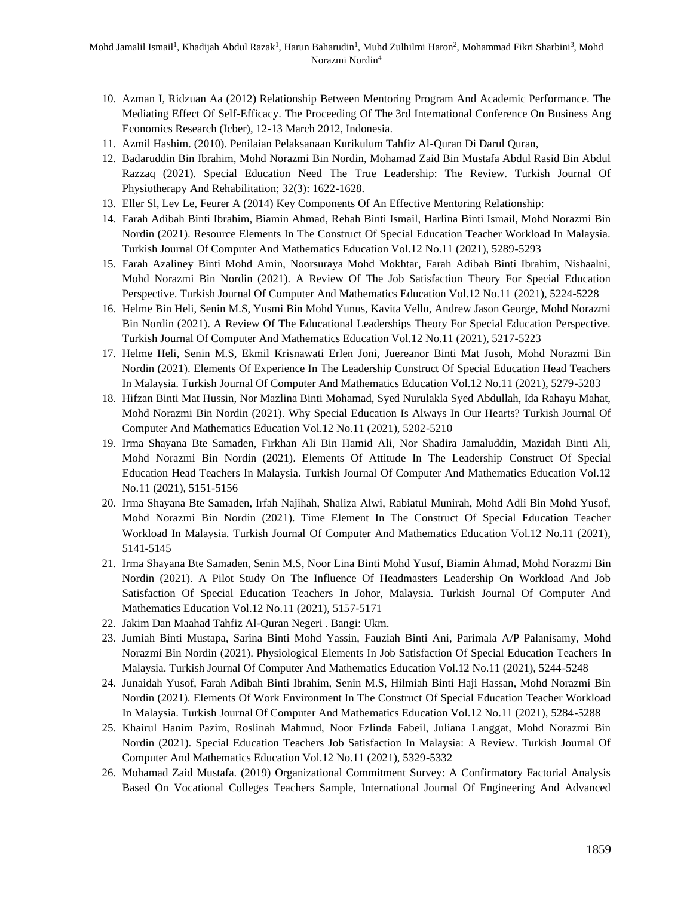- 10. Azman I, Ridzuan Aa (2012) Relationship Between Mentoring Program And Academic Performance. The Mediating Effect Of Self-Efficacy. The Proceeding Of The 3rd International Conference On Business Ang Economics Research (Icber), 12-13 March 2012, Indonesia.
- 11. Azmil Hashim. (2010). Penilaian Pelaksanaan Kurikulum Tahfiz Al-Quran Di Darul Quran,
- 12. Badaruddin Bin Ibrahim, Mohd Norazmi Bin Nordin, Mohamad Zaid Bin Mustafa Abdul Rasid Bin Abdul Razzaq (2021). Special Education Need The True Leadership: The Review. Turkish Journal Of Physiotherapy And Rehabilitation; 32(3): 1622-1628.
- 13. Eller Sl, Lev Le, Feurer A (2014) Key Components Of An Effective Mentoring Relationship:
- 14. Farah Adibah Binti Ibrahim, Biamin Ahmad, Rehah Binti Ismail, Harlina Binti Ismail, Mohd Norazmi Bin Nordin (2021). Resource Elements In The Construct Of Special Education Teacher Workload In Malaysia. Turkish Journal Of Computer And Mathematics Education Vol.12 No.11 (2021), 5289-5293
- 15. Farah Azaliney Binti Mohd Amin, Noorsuraya Mohd Mokhtar, Farah Adibah Binti Ibrahim, Nishaalni, Mohd Norazmi Bin Nordin (2021). A Review Of The Job Satisfaction Theory For Special Education Perspective. Turkish Journal Of Computer And Mathematics Education Vol.12 No.11 (2021), 5224-5228
- 16. Helme Bin Heli, Senin M.S, Yusmi Bin Mohd Yunus, Kavita Vellu, Andrew Jason George, Mohd Norazmi Bin Nordin (2021). A Review Of The Educational Leaderships Theory For Special Education Perspective. Turkish Journal Of Computer And Mathematics Education Vol.12 No.11 (2021), 5217-5223
- 17. Helme Heli, Senin M.S, Ekmil Krisnawati Erlen Joni, Juereanor Binti Mat Jusoh, Mohd Norazmi Bin Nordin (2021). Elements Of Experience In The Leadership Construct Of Special Education Head Teachers In Malaysia. Turkish Journal Of Computer And Mathematics Education Vol.12 No.11 (2021), 5279-5283
- 18. Hifzan Binti Mat Hussin, Nor Mazlina Binti Mohamad, Syed Nurulakla Syed Abdullah, Ida Rahayu Mahat, Mohd Norazmi Bin Nordin (2021). Why Special Education Is Always In Our Hearts? Turkish Journal Of Computer And Mathematics Education Vol.12 No.11 (2021), 5202-5210
- 19. Irma Shayana Bte Samaden, Firkhan Ali Bin Hamid Ali, Nor Shadira Jamaluddin, Mazidah Binti Ali, Mohd Norazmi Bin Nordin (2021). Elements Of Attitude In The Leadership Construct Of Special Education Head Teachers In Malaysia. Turkish Journal Of Computer And Mathematics Education Vol.12 No.11 (2021), 5151-5156
- 20. Irma Shayana Bte Samaden, Irfah Najihah, Shaliza Alwi, Rabiatul Munirah, Mohd Adli Bin Mohd Yusof, Mohd Norazmi Bin Nordin (2021). Time Element In The Construct Of Special Education Teacher Workload In Malaysia. Turkish Journal Of Computer And Mathematics Education Vol.12 No.11 (2021), 5141-5145
- 21. Irma Shayana Bte Samaden, Senin M.S, Noor Lina Binti Mohd Yusuf, Biamin Ahmad, Mohd Norazmi Bin Nordin (2021). A Pilot Study On The Influence Of Headmasters Leadership On Workload And Job Satisfaction Of Special Education Teachers In Johor, Malaysia. Turkish Journal Of Computer And Mathematics Education Vol.12 No.11 (2021), 5157-5171
- 22. Jakim Dan Maahad Tahfiz Al-Quran Negeri . Bangi: Ukm.
- 23. Jumiah Binti Mustapa, Sarina Binti Mohd Yassin, Fauziah Binti Ani, Parimala A/P Palanisamy, Mohd Norazmi Bin Nordin (2021). Physiological Elements In Job Satisfaction Of Special Education Teachers In Malaysia. Turkish Journal Of Computer And Mathematics Education Vol.12 No.11 (2021), 5244-5248
- 24. Junaidah Yusof, Farah Adibah Binti Ibrahim, Senin M.S, Hilmiah Binti Haji Hassan, Mohd Norazmi Bin Nordin (2021). Elements Of Work Environment In The Construct Of Special Education Teacher Workload In Malaysia. Turkish Journal Of Computer And Mathematics Education Vol.12 No.11 (2021), 5284-5288
- 25. Khairul Hanim Pazim, Roslinah Mahmud, Noor Fzlinda Fabeil, Juliana Langgat, Mohd Norazmi Bin Nordin (2021). Special Education Teachers Job Satisfaction In Malaysia: A Review. Turkish Journal Of Computer And Mathematics Education Vol.12 No.11 (2021), 5329-5332
- 26. Mohamad Zaid Mustafa. (2019) Organizational Commitment Survey: A Confirmatory Factorial Analysis Based On Vocational Colleges Teachers Sample, International Journal Of Engineering And Advanced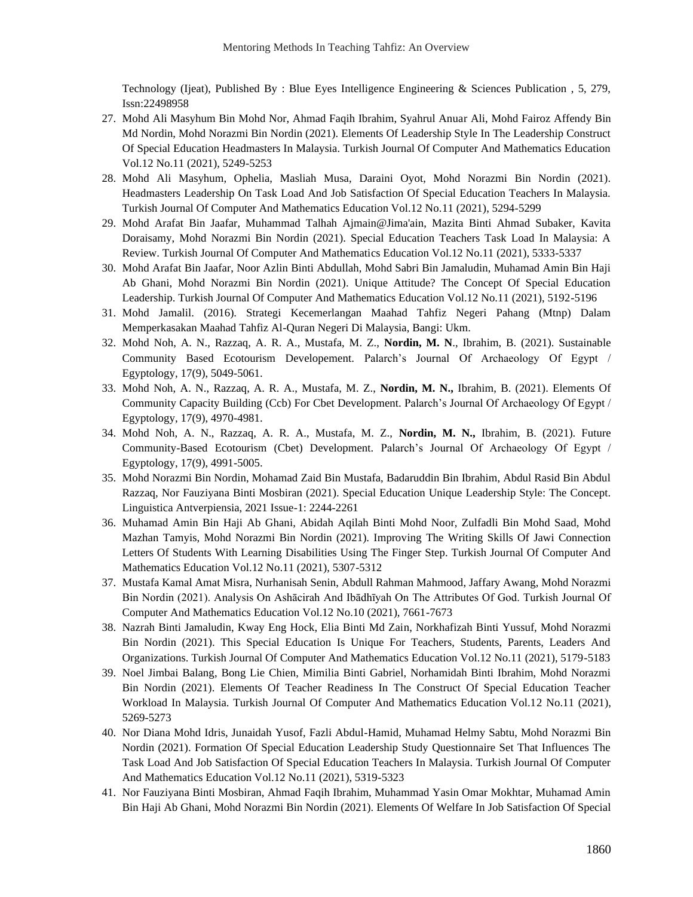Technology (Ijeat), Published By : Blue Eyes Intelligence Engineering & Sciences Publication , 5, 279, Issn:22498958

- 27. Mohd Ali Masyhum Bin Mohd Nor, Ahmad Faqih Ibrahim, Syahrul Anuar Ali, Mohd Fairoz Affendy Bin Md Nordin, Mohd Norazmi Bin Nordin (2021). Elements Of Leadership Style In The Leadership Construct Of Special Education Headmasters In Malaysia. Turkish Journal Of Computer And Mathematics Education Vol.12 No.11 (2021), 5249-5253
- 28. Mohd Ali Masyhum, Ophelia, Masliah Musa, Daraini Oyot, Mohd Norazmi Bin Nordin (2021). Headmasters Leadership On Task Load And Job Satisfaction Of Special Education Teachers In Malaysia. Turkish Journal Of Computer And Mathematics Education Vol.12 No.11 (2021), 5294-5299
- 29. Mohd Arafat Bin Jaafar, Muhammad Talhah Ajmain@Jima'ain, Mazita Binti Ahmad Subaker, Kavita Doraisamy, Mohd Norazmi Bin Nordin (2021). Special Education Teachers Task Load In Malaysia: A Review. Turkish Journal Of Computer And Mathematics Education Vol.12 No.11 (2021), 5333-5337
- 30. Mohd Arafat Bin Jaafar, Noor Azlin Binti Abdullah, Mohd Sabri Bin Jamaludin, Muhamad Amin Bin Haji Ab Ghani, Mohd Norazmi Bin Nordin (2021). Unique Attitude? The Concept Of Special Education Leadership. Turkish Journal Of Computer And Mathematics Education Vol.12 No.11 (2021), 5192-5196
- 31. Mohd Jamalil. (2016). Strategi Kecemerlangan Maahad Tahfiz Negeri Pahang (Mtnp) Dalam Memperkasakan Maahad Tahfiz Al-Quran Negeri Di Malaysia, Bangi: Ukm.
- 32. Mohd Noh, A. N., Razzaq, A. R. A., Mustafa, M. Z., **Nordin, M. N**., Ibrahim, B. (2021). Sustainable Community Based Ecotourism Developement. Palarch's Journal Of Archaeology Of Egypt / Egyptology, 17(9), 5049-5061.
- 33. Mohd Noh, A. N., Razzaq, A. R. A., Mustafa, M. Z., **Nordin, M. N.,** Ibrahim, B. (2021). Elements Of Community Capacity Building (Ccb) For Cbet Development. Palarch's Journal Of Archaeology Of Egypt / Egyptology, 17(9), 4970-4981.
- 34. Mohd Noh, A. N., Razzaq, A. R. A., Mustafa, M. Z., **Nordin, M. N.,** Ibrahim, B. (2021). Future Community-Based Ecotourism (Cbet) Development. Palarch's Journal Of Archaeology Of Egypt / Egyptology, 17(9), 4991-5005.
- 35. Mohd Norazmi Bin Nordin, Mohamad Zaid Bin Mustafa, Badaruddin Bin Ibrahim, Abdul Rasid Bin Abdul Razzaq, Nor Fauziyana Binti Mosbiran (2021). Special Education Unique Leadership Style: The Concept. Linguistica Antverpiensia, 2021 Issue-1: 2244-2261
- 36. Muhamad Amin Bin Haji Ab Ghani, Abidah Aqilah Binti Mohd Noor, Zulfadli Bin Mohd Saad, Mohd Mazhan Tamyis, Mohd Norazmi Bin Nordin (2021). Improving The Writing Skills Of Jawi Connection Letters Of Students With Learning Disabilities Using The Finger Step. Turkish Journal Of Computer And Mathematics Education Vol.12 No.11 (2021), 5307-5312
- 37. Mustafa Kamal Amat Misra, Nurhanisah Senin, Abdull Rahman Mahmood, Jaffary Awang, Mohd Norazmi Bin Nordin (2021). Analysis On Ashācirah And Ibādhīyah On The Attributes Of God. Turkish Journal Of Computer And Mathematics Education Vol.12 No.10 (2021), 7661-7673
- 38. Nazrah Binti Jamaludin, Kway Eng Hock, Elia Binti Md Zain, Norkhafizah Binti Yussuf, Mohd Norazmi Bin Nordin (2021). This Special Education Is Unique For Teachers, Students, Parents, Leaders And Organizations. Turkish Journal Of Computer And Mathematics Education Vol.12 No.11 (2021), 5179-5183
- 39. Noel Jimbai Balang, Bong Lie Chien, Mimilia Binti Gabriel, Norhamidah Binti Ibrahim, Mohd Norazmi Bin Nordin (2021). Elements Of Teacher Readiness In The Construct Of Special Education Teacher Workload In Malaysia. Turkish Journal Of Computer And Mathematics Education Vol.12 No.11 (2021), 5269-5273
- 40. Nor Diana Mohd Idris, Junaidah Yusof, Fazli Abdul-Hamid, Muhamad Helmy Sabtu, Mohd Norazmi Bin Nordin (2021). Formation Of Special Education Leadership Study Questionnaire Set That Influences The Task Load And Job Satisfaction Of Special Education Teachers In Malaysia. Turkish Journal Of Computer And Mathematics Education Vol.12 No.11 (2021), 5319-5323
- 41. Nor Fauziyana Binti Mosbiran, Ahmad Faqih Ibrahim, Muhammad Yasin Omar Mokhtar, Muhamad Amin Bin Haji Ab Ghani, Mohd Norazmi Bin Nordin (2021). Elements Of Welfare In Job Satisfaction Of Special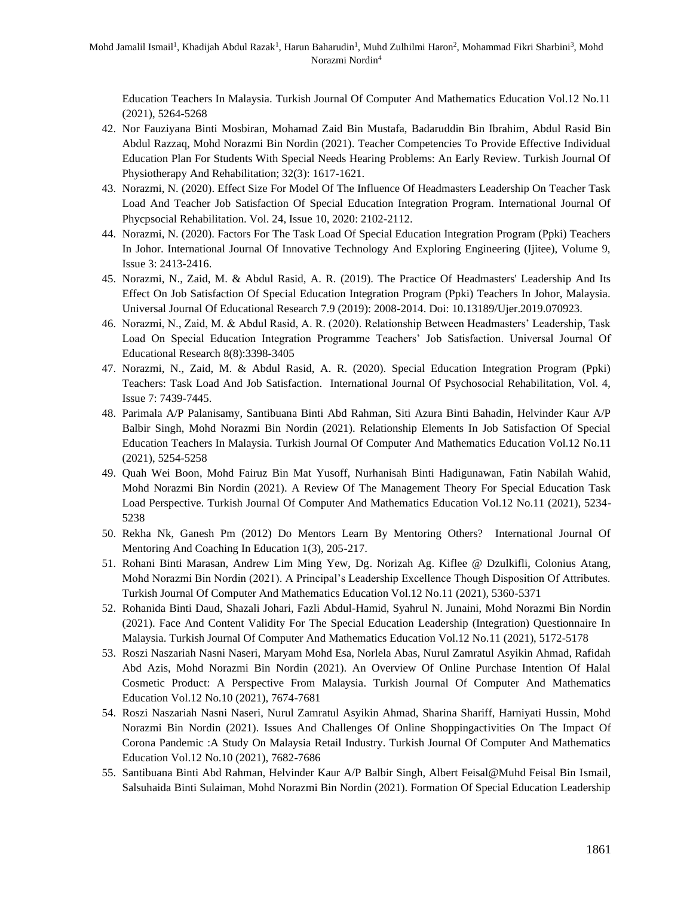Education Teachers In Malaysia. Turkish Journal Of Computer And Mathematics Education Vol.12 No.11 (2021), 5264-5268

- 42. Nor Fauziyana Binti Mosbiran, Mohamad Zaid Bin Mustafa, Badaruddin Bin Ibrahim, Abdul Rasid Bin Abdul Razzaq, Mohd Norazmi Bin Nordin (2021). Teacher Competencies To Provide Effective Individual Education Plan For Students With Special Needs Hearing Problems: An Early Review. Turkish Journal Of Physiotherapy And Rehabilitation; 32(3): 1617-1621.
- 43. Norazmi, N. (2020). Effect Size For Model Of The Influence Of Headmasters Leadership On Teacher Task Load And Teacher Job Satisfaction Of Special Education Integration Program. International Journal Of Phycpsocial Rehabilitation. Vol. 24, Issue 10, 2020: 2102-2112.
- 44. Norazmi, N. (2020). Factors For The Task Load Of Special Education Integration Program (Ppki) Teachers In Johor. International Journal Of Innovative Technology And Exploring Engineering (Ijitee), Volume 9, Issue 3: 2413-2416.
- 45. Norazmi, N., Zaid, M. & Abdul Rasid, A. R. (2019). The Practice Of Headmasters' Leadership And Its Effect On Job Satisfaction Of Special Education Integration Program (Ppki) Teachers In Johor, Malaysia. Universal Journal Of Educational Research 7.9 (2019): 2008-2014. Doi: 10.13189/Ujer.2019.070923.
- 46. Norazmi, N., Zaid, M. & Abdul Rasid, A. R. (2020). Relationship Between Headmasters' Leadership, Task Load On Special Education Integration Programme Teachers' Job Satisfaction. Universal Journal Of Educational Research 8(8):3398-3405
- 47. Norazmi, N., Zaid, M. & Abdul Rasid, A. R. (2020). Special Education Integration Program (Ppki) Teachers: Task Load And Job Satisfaction. International Journal Of Psychosocial Rehabilitation, Vol. 4, Issue 7: 7439-7445.
- 48. Parimala A/P Palanisamy, Santibuana Binti Abd Rahman, Siti Azura Binti Bahadin, Helvinder Kaur A/P Balbir Singh, Mohd Norazmi Bin Nordin (2021). Relationship Elements In Job Satisfaction Of Special Education Teachers In Malaysia. Turkish Journal Of Computer And Mathematics Education Vol.12 No.11 (2021), 5254-5258
- 49. Quah Wei Boon, Mohd Fairuz Bin Mat Yusoff, Nurhanisah Binti Hadigunawan, Fatin Nabilah Wahid, Mohd Norazmi Bin Nordin (2021). A Review Of The Management Theory For Special Education Task Load Perspective. Turkish Journal Of Computer And Mathematics Education Vol.12 No.11 (2021), 5234- 5238
- 50. Rekha Nk, Ganesh Pm (2012) Do Mentors Learn By Mentoring Others? International Journal Of Mentoring And Coaching In Education 1(3), 205-217.
- 51. Rohani Binti Marasan, Andrew Lim Ming Yew, Dg. Norizah Ag. Kiflee @ Dzulkifli, Colonius Atang, Mohd Norazmi Bin Nordin (2021). A Principal's Leadership Excellence Though Disposition Of Attributes. Turkish Journal Of Computer And Mathematics Education Vol.12 No.11 (2021), 5360-5371
- 52. Rohanida Binti Daud, Shazali Johari, Fazli Abdul-Hamid, Syahrul N. Junaini, Mohd Norazmi Bin Nordin (2021). Face And Content Validity For The Special Education Leadership (Integration) Questionnaire In Malaysia. Turkish Journal Of Computer And Mathematics Education Vol.12 No.11 (2021), 5172-5178
- 53. Roszi Naszariah Nasni Naseri, Maryam Mohd Esa, Norlela Abas, Nurul Zamratul Asyikin Ahmad, Rafidah Abd Azis, Mohd Norazmi Bin Nordin (2021). An Overview Of Online Purchase Intention Of Halal Cosmetic Product: A Perspective From Malaysia. Turkish Journal Of Computer And Mathematics Education Vol.12 No.10 (2021), 7674-7681
- 54. Roszi Naszariah Nasni Naseri, Nurul Zamratul Asyikin Ahmad, Sharina Shariff, Harniyati Hussin, Mohd Norazmi Bin Nordin (2021). Issues And Challenges Of Online Shoppingactivities On The Impact Of Corona Pandemic :A Study On Malaysia Retail Industry. Turkish Journal Of Computer And Mathematics Education Vol.12 No.10 (2021), 7682-7686
- 55. Santibuana Binti Abd Rahman, Helvinder Kaur A/P Balbir Singh, Albert Feisal@Muhd Feisal Bin Ismail, Salsuhaida Binti Sulaiman, Mohd Norazmi Bin Nordin (2021). Formation Of Special Education Leadership